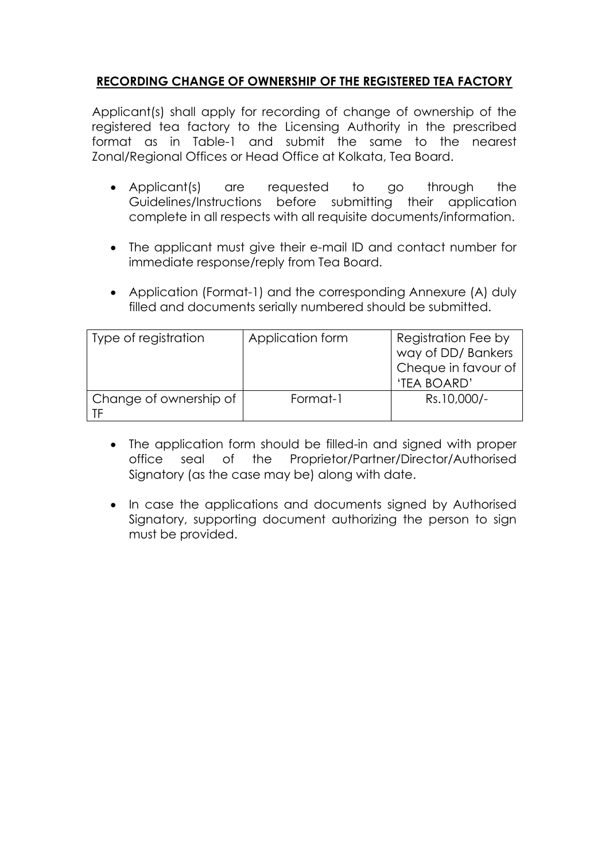## **RECORDING CHANGE OF OWNERSHIP OF THE REGISTERED TEA FACTORY**

Applicant(s) shall apply for recording of change of ownership of the registered tea factory to the Licensing Authority in the prescribed format as in Table-1 and submit the same to the nearest Zonal/Regional Offices or Head Office at Kolkata, Tea Board.

- Applicant(s) are requested to go through the Guidelines/Instructions before submitting their application complete in all respects with all requisite documents/information.
- The applicant must give their e-mail ID and contact number for immediate response/reply from Tea Board.
- Application (Format-1) and the corresponding Annexure (A) duly filled and documents serially numbered should be submitted.

| Type of registration   | Application form | <b>Registration Fee by</b><br>way of DD/ Bankers<br>Cheque in favour of<br>'TEA BOARD' |
|------------------------|------------------|----------------------------------------------------------------------------------------|
| Change of ownership of | Format-1         | Rs.10,000/-                                                                            |

- The application form should be filled-in and signed with proper office seal of the Proprietor/Partner/Director/Authorised Signatory (as the case may be) along with date.
- In case the applications and documents signed by Authorised Signatory, supporting document authorizing the person to sign must be provided.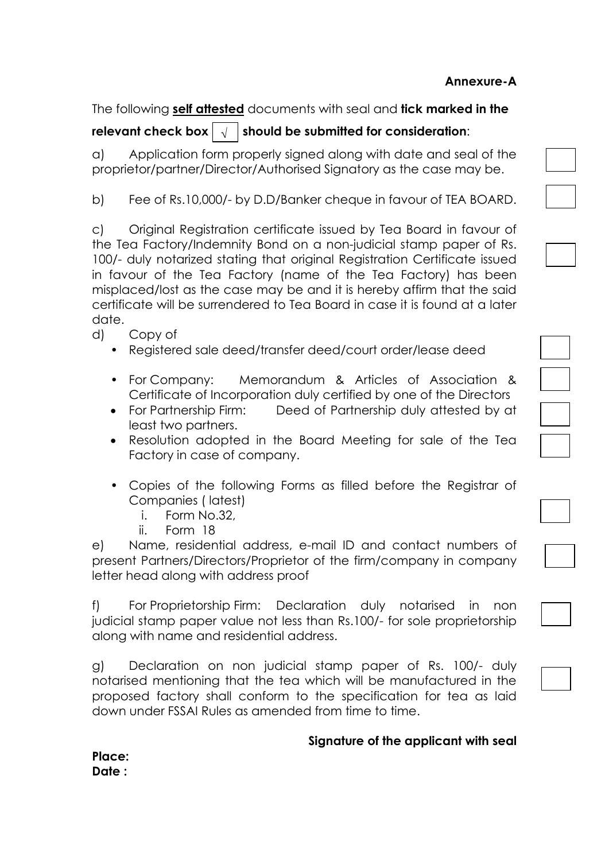## **Annexure-A**

The following **self attested** documents with seal and **tick marked in the** 

# relevant check box  $\mid \sqrt{-\mid}$  should be submitted for consideration:

a) Application form properly signed along with date and seal of the proprietor/partner/Director/Authorised Signatory as the case may be.

b) Fee of Rs.10,000/- by D.D/Banker cheque in favour of TEA BOARD.

c) Original Registration certificate issued by Tea Board in favour of the Tea Factory/Indemnity Bond on a non-judicial stamp paper of Rs. 100/- duly notarized stating that original Registration Certificate issued in favour of the Tea Factory (name of the Tea Factory) has been misplaced/lost as the case may be and it is hereby affirm that the said certificate will be surrendered to Tea Board in case it is found at a later date.

- d) Copy of
	- Registered sale deed/transfer deed/court order/lease deed
	- For Company: Memorandum & Articles of Association & Certificate of Incorporation duly certified by one of the Directors
	- For Partnership Firm: Deed of Partnership duly attested by at least two partners.
	- Resolution adopted in the Board Meeting for sale of the Tea Factory in case of company.
	- Copies of the following Forms as filled before the Registrar of Companies ( latest)
		- i. Form No.32,
		- ii. Form 18

e) Name, residential address, e-mail ID and contact numbers of present Partners/Directors/Proprietor of the firm/company in company letter head along with address proof

f) For Proprietorship Firm: Declaration duly notarised in non judicial stamp paper value not less than Rs.100/- for sole proprietorship along with name and residential address.

g) Declaration on non judicial stamp paper of Rs. 100/- duly notarised mentioning that the tea which will be manufactured in the proposed factory shall conform to the specification for tea as laid down under FSSAI Rules as amended from time to time.

#### **Signature of the applicant with seal**

| Place: |  |
|--------|--|
| Date : |  |

| I |  |  |  |
|---|--|--|--|